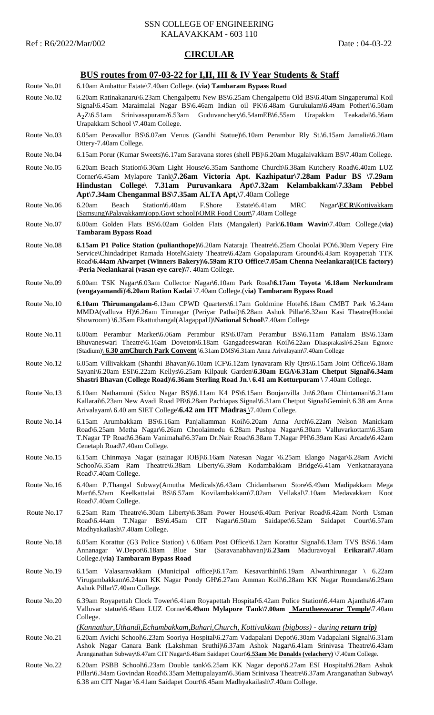## **CIRCULAR**

## **BUS routes from 07-03-22 for I,II, III & IV Year Students & Staff**

- Route No.01 6.10am Ambattur Estate\7.40am College. **(via) Tambaram Bypass Road**
- Route No.02 6.20am Ratinakanaru\6.23am Chengalpettu New BS**\**6.25am Chengalpettu Old BS**\**6.40am Singaperumal Koil Signal**\**6.45am Maraimalai Nagar BS\6.46am Indian oil PK\6.48am Gurukulam**\**6.49am Potheri\6.50am A2Z\6.51am Srinivasapuram/6.53am Guduvanchery**\**6.54amEB**\**6.55am Urapakkm Teakadai**\**6.56am Urapakkam School **\**7.40am College.
- Route No.03 6.05am Peravallur BS**\**6.07am Venus (Gandhi Statue)**\**6.10am Perambur Rly St.**\**6.15am Jamalia**\**6.20am Ottery-7.40am College.
- Route No.04 6.15am Porur (Kumar Sweets)**\**6.17am Saravana stores (shell PB)\6.20am Mugalaivakkam BS**\**7.40am College.
- Route No.05 6.20am Beach Station**\**6.30am Light House**\**6.35am Santhome Church**\**6.38am Kutchery Road**\**6.40am LUZ Corner**\**6.45am Mylapore Tank**\7.26am Victoria Apt. Kazhipatur\7.28am Padur BS \7.29am Hindustan College\ 7.31am Puruvankara Apt\7.32am Kelambakkam**\**7.33am Pebbel Apt\7.34am Chenganmal BS\7.35am ALTA Apt,\**7.40am College
- Route No.06 6.20am Beach Station**\**6.40am F.Shore Estate**\**6.41am MRC Nagar**\ECR\**Kottivakkam (Samsung)**\**Palavakkam**\**(opp.Govt school)**\**OMR Food Court**\**7.40am College
- Route No.07 6.00am Golden Flats BS**\**6.02am Golden Flats (Mangaleri) Park\**6.10am Wavin\**7.40am College.(v**ia) Tambaram Bypass Road**
- Route No.08 **6.15am P1 Police Station (pulianthope)\**6.20am Nataraja Theatre**\**6.25am Choolai PO**\**6.30am Vepery Fire Service**\**Chindadripet Ramada Hotel**\**Gaiety Theatre**\**6.42am Gopalapuram Ground**\**6.43am Royapettah TTK Road**\6.44am Alwarpet (Winners Bakery)\6.59am RTO Office\7.05am Chenna Neelankarai(ICE factory) -Peria Neelankarai (vasan eye care)\**7. 40am College.
- Route No.09 6.00am TSK Nagar**\**6.03am Collector Nagar**\**6.10am Park Road**\6.17am Toyota \6.18am Nerkundram (vengayamandi**)\**6.20am Ration Kadai** \7.40am College.(v**ia) Tambaram Bypass Road**
- Route No.10 **6.10am Thirumangalam**-6.13am CPWD Quarters**\**6.17am Goldmine Hotel**\**6.18am CMBT Park **\**6.24am MMDA(valluva H)**\**6.26am Tirunagar (Periyar Pathai)\6.28am Ashok Pillar\6.32am Kasi Theatre(Hondai Showroom) **\**6.35am Ekattuthangal(AlagappaU)**\National School\**7.40am College
- Route No.11 6.00am Perambur Market**\**6.06am Perambur RS**\**6.07am Perambur BS**\**6.11am Pattalam BS**\**6.13am Bhuvaneswari Theatre**\**6.16am Doveton**\**6.18am Gangadeeswaran Koil**\**6.22am Dhasprakash**\**6.25am Egmore (Stadium)\ **6.30 amChurch Park Convent** \6.31am DMS**\**6.31am Anna Arivalayam**\**7.40am College
- Route No.12 6.05am Villivakkam (Shanthi Bhavan)**\**6.10am ICF**\**6.12am Iynavaram Rly Qtrs**\**6.15am Joint Office**\**6.18am Sayani\6.20am ESI\6.22am Kellys**\**6.25am Kilpauk Garden\**6.30am EGA\6.31am Chetput Signal\6.34am Shastri Bhavan (College Road)\6.36am Sterling Road Jn**.**\ 6.41 am Kotturpuram \** 7.40am College.
- Route No.13 6.10am Nathamuni (Sidco Nagar BS)**\**6.11am K4 PS**\**6.15am Boojanvilla Jn**\**6.20am Chintamani**\**6.21am Kallarai**\**6.23am New Avadi Road PB**\**6.28am Pachiapas Signal**\**6.31am Chetput Signal**\**Gemini**\** 6.38 am Anna Arivalayam**\** 6.40 am SIET College\**6.42 am IIT Madras \**7.40am College.
- Route No.14 6.15am Arumbakkam BS**\**6.16am Panjaliamman Koil**\**6.20am Anna Arch**\**6.22am Nelson Manickam Road**\**6.25am Metha Nagar**\**6.26am Choolaimedu 6.28am Pushpa Nagar**\**6.30am Valluvarkottam**\**6.35am T.Nagar TP Road**\**6.36am Vanimahal**\**6.37am Dr.Nair Road**\**6.38am T.Nagar PH**\**6.39am Kasi Arcade**\**6.42am Cenetaph Road**\**7.40am College.
- Route No.15 6.15am Chinmaya Nagar (sainagar IOB)**\**6.16am Natesan Nagar **\**6.25am Elango Nagar**\**6.28am Avichi School**\**6.35am Ram Theatre**\**6.38am Liberty**\**6.39am Kodambakkam Bridge**\**6.41am Venkatnarayana Road**\**7.40am College.
- Route No.16 6.40am P.Thangal Subway(Amutha Medicals)**\**6.43am Chidambaram Store**\**6.49am Madipakkam Mega Mart**\**6.52am Keelkattalai BS\6.57am Kovilambakkam**\**7.02am Vellakal**\**7.10am Medavakkam Koot Road**\**7.40am College.
- Route No.17 6.25am Ram Theatre**\**6.30am Liberty**\**6.38am Power House**\**6.40am Periyar Road**\**6.42am North Usman Road**\**6.44am T.Nagar BS**\**6.45am CIT Nagar**\**6.50am Saidapet**\**6.52am Saidapet Court**\**6.57am Madhyakailash**\**7.40am College.
- Route No.18 6.05am Korattur (G3 Police Station) **\** 6.06am Post Office**\**6.12am Korattur Signal\6.13am TVS BS\6.14am Annanagar W.Depot**\**6.18am Blue Star (Saravanabhavan)\6.**23am** Maduravoyal **Erikarai\**7.40am College.(v**ia) Tambaram Bypass Road**
- Route No.19 6.15am Valasaravakkam (Municipal office)**\**6.17am Kesavarthini**\**6.19am Alwarthirunagar **\** 6.22am Virugambakkam**\**6.24am KK Nagar Pondy GH**\**6.27am Amman Koil**\**6.28am KK Nagar Roundana**\**6.29am Ashok Pillar**\**7.40am College.
- Route No.20 6.39am Royapettah Clock Tower**\**6.41am Royapettah Hospital**\**6.42am Police Station**\**6.44am Ajantha**\**6.47am Valluvar statue**\**6.48am LUZ Corner**\6.49am Mylapore Tank\7.00am Marutheeswarar Temple**\7.40am College.
	- *(Kannathur, Uthandi, Echambakkam, Buhari, Church, Kottivakkam (bigboss) during return trip)*
- Route No.21 6.20am Avichi School**\**6.23am Sooriya Hospital**\**6.27am Vadapalani Depot**\**6.30am Vadapalani Signal**\**6.31am Ashok Nagar Canara Bank (Lakshman Sruthi)**\**6.37am Ashok Nagar**\**6.41am Srinivasa Theatre**\**6.43am Aranganathan Subway**\**6.47am CIT Nagar**\**6.48am Saidapet Court\**6.53am Mc Donalds (velachery) \**7.40am College.
- Route No.22 6.20am PSBB School**\**6.23am Double tank**\**6.25am KK Nagar depot**\**6.27am ESI Hospital**\**6.28am Ashok Pillar**\**6.34am Govindan Road**\**6.35am Mettupalayam**\**6.36am Srinivasa Theatre**\**6.37am Aranganathan Subway**\** 6.38 am CIT Nagar **\**6.41am Saidapet Court**\**6.45am Madhyakailash**\**7.40am College.